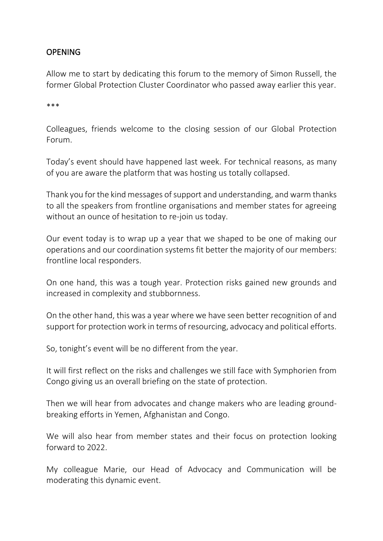### OPENING

Allow me to start by dedicating this forum to the memory of Simon Russell, the former Global Protection Cluster Coordinator who passed away earlier this year.

\*\*\*

Colleagues, friends welcome to the closing session of our Global Protection Forum.

Today's event should have happened last week. For technical reasons, as many of you are aware the platform that was hosting us totally collapsed.

Thank you for the kind messages of support and understanding, and warm thanks to all the speakers from frontline organisations and member states for agreeing without an ounce of hesitation to re-join us today.

Our event today is to wrap up a year that we shaped to be one of making our operations and our coordination systems fit better the majority of our members: frontline local responders.

On one hand, this was a tough year. Protection risks gained new grounds and increased in complexity and stubbornness.

On the other hand, this was a year where we have seen better recognition of and support for protection work in terms of resourcing, advocacy and political efforts.

So, tonight's event will be no different from the year.

It will first reflect on the risks and challenges we still face with Symphorien from Congo giving us an overall briefing on the state of protection.

Then we will hear from advocates and change makers who are leading groundbreaking efforts in Yemen, Afghanistan and Congo.

We will also hear from member states and their focus on protection looking forward to 2022.

My colleague Marie, our Head of Advocacy and Communication will be moderating this dynamic event.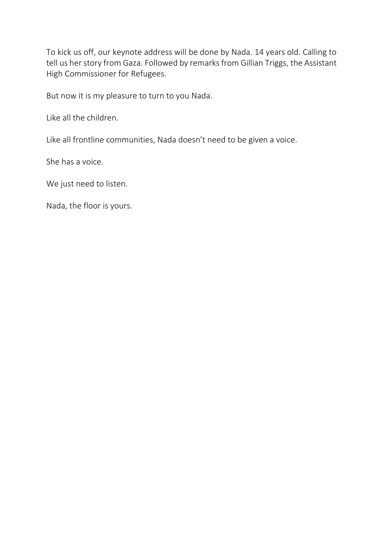To kick us off, our keynote address will be done by Nada. 14 years old. Calling to tell us her story from Gaza. Followed by remarks from Gillian Triggs, the Assistant High Commissioner for Refugees.

But now it is my pleasure to turn to you Nada.

Like all the children.

Like all frontline communities, Nada doesn't need to be given a voice.

She has a voice.

We just need to listen.

Nada, the floor is yours.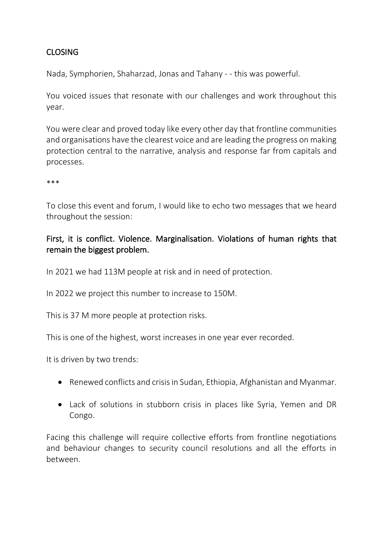# CLOSING

Nada, Symphorien, Shaharzad, Jonas and Tahany - - this was powerful.

You voiced issues that resonate with our challenges and work throughout this year.

You were clear and proved today like every other day that frontline communities and organisations have the clearest voice and are leading the progress on making protection central to the narrative, analysis and response far from capitals and processes.

\*\*\*

To close this event and forum, I would like to echo two messages that we heard throughout the session:

## First, it is conflict. Violence. Marginalisation. Violations of human rights that remain the biggest problem.

In 2021 we had 113M people at risk and in need of protection.

In 2022 we project this number to increase to 150M.

This is 37 M more people at protection risks.

This is one of the highest, worst increases in one year ever recorded.

It is driven by two trends:

- Renewed conflicts and crisis in Sudan, Ethiopia, Afghanistan and Myanmar.
- Lack of solutions in stubborn crisis in places like Syria, Yemen and DR Congo.

Facing this challenge will require collective efforts from frontline negotiations and behaviour changes to security council resolutions and all the efforts in between.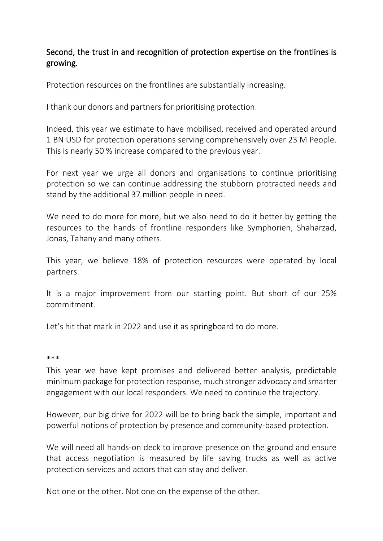### Second, the trust in and recognition of protection expertise on the frontlines is growing.

Protection resources on the frontlines are substantially increasing.

I thank our donors and partners for prioritising protection.

Indeed, this year we estimate to have mobilised, received and operated around 1 BN USD for protection operations serving comprehensively over 23 M People. This is nearly 50 % increase compared to the previous year.

For next year we urge all donors and organisations to continue prioritising protection so we can continue addressing the stubborn protracted needs and stand by the additional 37 million people in need.

We need to do more for more, but we also need to do it better by getting the resources to the hands of frontline responders like Symphorien, Shaharzad, Jonas, Tahany and many others.

This year, we believe 18% of protection resources were operated by local partners.

It is a major improvement from our starting point. But short of our 25% commitment.

Let's hit that mark in 2022 and use it as springboard to do more.

#### \*\*\*

This year we have kept promises and delivered better analysis, predictable minimum package for protection response, much stronger advocacy and smarter engagement with our local responders. We need to continue the trajectory.

However, our big drive for 2022 will be to bring back the simple, important and powerful notions of protection by presence and community-based protection.

We will need all hands-on deck to improve presence on the ground and ensure that access negotiation is measured by life saving trucks as well as active protection services and actors that can stay and deliver.

Not one or the other. Not one on the expense of the other.